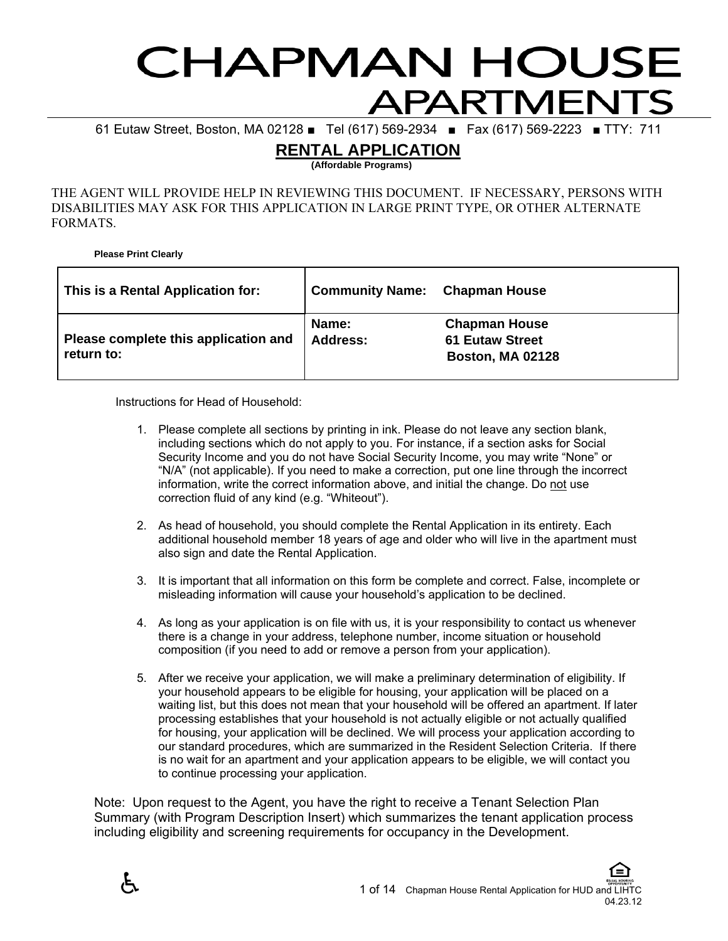# **HAPMAN HOUSE** APARTMENTS

61 Eutaw Street, Boston, MA 02128 ■ Tel (617) 569-2934 ■ Fax (617) 569-2223 ■ TTY: 711

# **RENTAL APPLICATION**

**(Affordable Programs)** 

THE AGENT WILL PROVIDE HELP IN REVIEWING THIS DOCUMENT. IF NECESSARY, PERSONS WITH DISABILITIES MAY ASK FOR THIS APPLICATION IN LARGE PRINT TYPE, OR OTHER ALTERNATE FORMATS.

**Please Print Clearly** 

| This is a Rental Application for:                  | <b>Community Name: Chapman House</b> |                                                                           |
|----------------------------------------------------|--------------------------------------|---------------------------------------------------------------------------|
| Please complete this application and<br>return to: | Name:<br><b>Address:</b>             | <b>Chapman House</b><br><b>61 Eutaw Street</b><br><b>Boston, MA 02128</b> |

Instructions for Head of Household:

- 1. Please complete all sections by printing in ink. Please do not leave any section blank, including sections which do not apply to you. For instance, if a section asks for Social Security Income and you do not have Social Security Income, you may write "None" or "N/A" (not applicable). If you need to make a correction, put one line through the incorrect information, write the correct information above, and initial the change. Do not use correction fluid of any kind (e.g. "Whiteout").
- 2. As head of household, you should complete the Rental Application in its entirety. Each additional household member 18 years of age and older who will live in the apartment must also sign and date the Rental Application.
- 3. It is important that all information on this form be complete and correct. False, incomplete or misleading information will cause your household's application to be declined.
- 4. As long as your application is on file with us, it is your responsibility to contact us whenever there is a change in your address, telephone number, income situation or household composition (if you need to add or remove a person from your application).
- 5. After we receive your application, we will make a preliminary determination of eligibility. If your household appears to be eligible for housing, your application will be placed on a waiting list, but this does not mean that your household will be offered an apartment. If later processing establishes that your household is not actually eligible or not actually qualified for housing, your application will be declined. We will process your application according to our standard procedures, which are summarized in the Resident Selection Criteria. If there is no wait for an apartment and your application appears to be eligible, we will contact you to continue processing your application.

Note: Upon request to the Agent, you have the right to receive a Tenant Selection Plan Summary (with Program Description Insert) which summarizes the tenant application process including eligibility and screening requirements for occupancy in the Development.

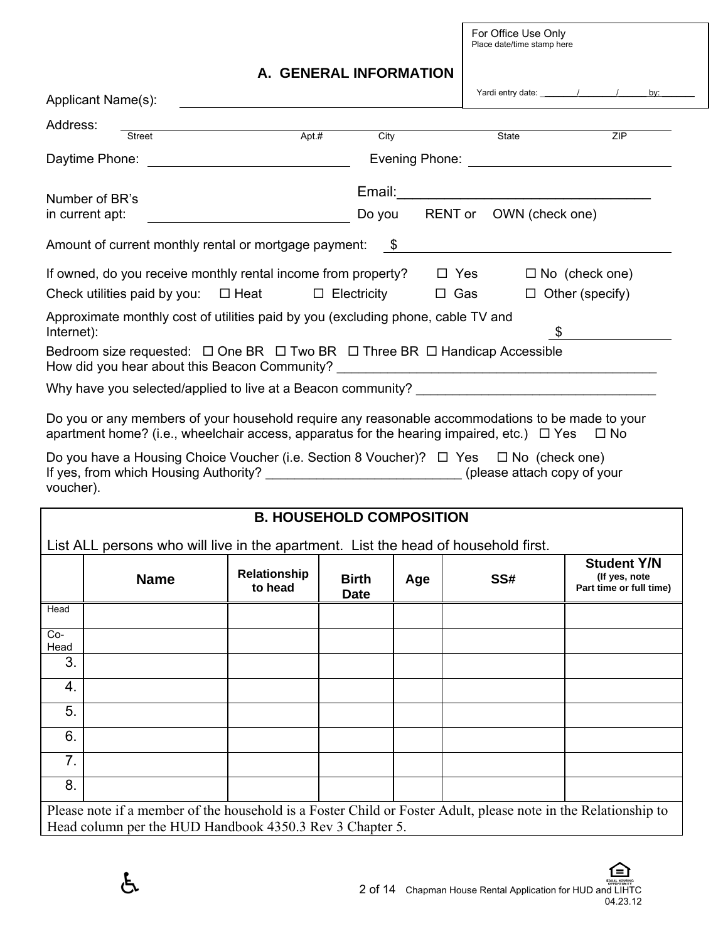For Office Use Only Place date/time stamp here

# **A. GENERAL INFORMATION**

| Applicant Name(s): |               |                                                                                                                                                                                                    |        |            |                                                           | Yardi entry date: / / / | by: |
|--------------------|---------------|----------------------------------------------------------------------------------------------------------------------------------------------------------------------------------------------------|--------|------------|-----------------------------------------------------------|-------------------------|-----|
| Address:           |               |                                                                                                                                                                                                    |        |            |                                                           |                         |     |
|                    | <b>Street</b> | Apt.#                                                                                                                                                                                              | City   |            | State                                                     | ZIP                     |     |
| Daytime Phone:     |               |                                                                                                                                                                                                    |        |            |                                                           |                         |     |
| Number of BR's     |               |                                                                                                                                                                                                    | Email: |            | <u> 1980 - Jan Barbara, manazarta bashkar a shekara t</u> |                         |     |
| in current apt:    |               |                                                                                                                                                                                                    | Do you |            | RENT or OWN (check one)                                   |                         |     |
|                    |               | Amount of current monthly rental or mortgage payment: $$$                                                                                                                                          |        |            |                                                           |                         |     |
|                    |               | If owned, do you receive monthly rental income from property?                                                                                                                                      |        | $\Box$ Yes |                                                           | $\Box$ No (check one)   |     |
|                    |               | Check utilities paid by you: $\Box$ Heat $\Box$ Electricity                                                                                                                                        |        | $\Box$ Gas |                                                           | $\Box$ Other (specify)  |     |
|                    |               | Approximate monthly cost of utilities paid by you (excluding phone, cable TV and                                                                                                                   |        |            |                                                           |                         |     |
| Internet):         |               |                                                                                                                                                                                                    |        |            | \$                                                        |                         |     |
|                    |               | Bedroom size requested: $\Box$ One BR $\Box$ Two BR $\Box$ Three BR $\Box$ Handicap Accessible<br>How did you hear about this Beacon Community? ___________________________________                |        |            |                                                           |                         |     |
|                    |               | Why have you selected/applied to live at a Beacon community? ___________________                                                                                                                   |        |            |                                                           |                         |     |
|                    |               | Do you or any members of your household require any reasonable accommodations to be made to your<br>apartment home? (i.e., wheelchair access, apparatus for the hearing impaired, etc.) $\Box$ Yes |        |            |                                                           | $\Box$ No               |     |

Do you have a Housing Choice Voucher (i.e. Section 8 Voucher)?  $\Box$  Yes  $\Box$  No (check one) If yes, from which Housing Authority? The same statistic example of your statistic example of your voucher).

# **B. HOUSEHOLD COMPOSITION**  List ALL persons who will live in the apartment. List the head of household first. **Name Relationship to head Birth Date Age SS# Student Y/N (If yes, note Part time or full time) Head** Co-Head 3. 4. 5. 6. 7. 8. Please note if a member of the household is a Foster Child or Foster Adult, please note in the Relationship to Head column per the HUD Handbook 4350.3 Rev 3 Chapter 5.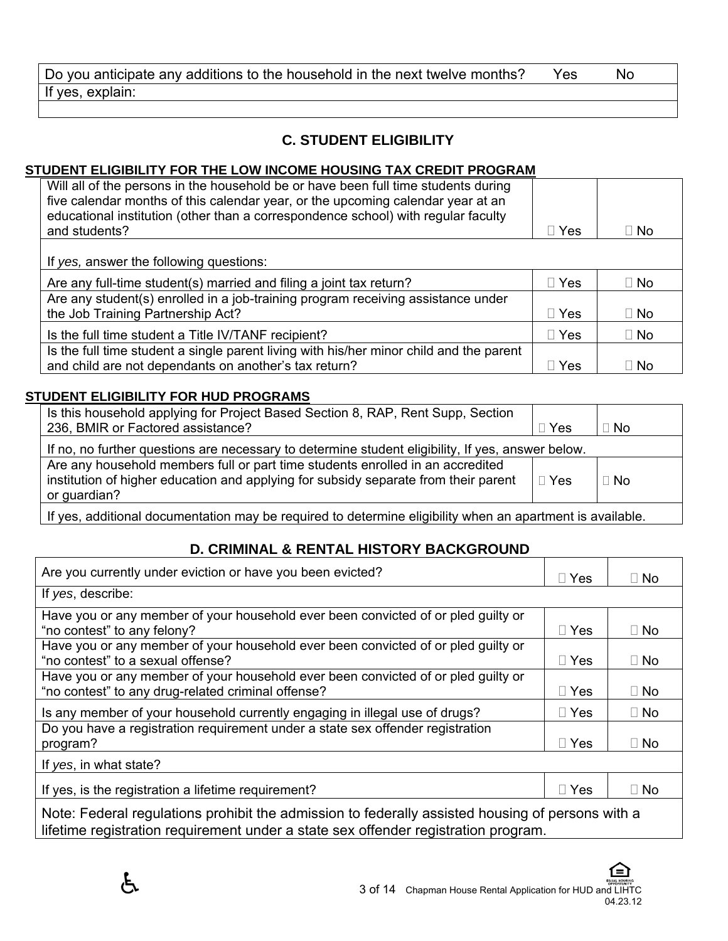| Do you anticipate any additions to the household in the next twelve months? | Yes | No |
|-----------------------------------------------------------------------------|-----|----|
| If yes, explain:                                                            |     |    |

# **C. STUDENT ELIGIBILITY**

# **STUDENT ELIGIBILITY FOR THE LOW INCOME HOUSING TAX CREDIT PROGRAM**

|              | ∣∣ No      |
|--------------|------------|
|              |            |
|              |            |
| $\sqcap$ Yes | $\Box$ No  |
|              |            |
| $\sqcap$ Yes | $\Box$ No  |
| $\sqcap$ Yes | II No      |
|              |            |
| Yes          | $\Box$ No  |
|              | $\Box$ Yes |

# **STUDENT ELIGIBILITY FOR HUD PROGRAMS**

| Is this household applying for Project Based Section 8, RAP, Rent Supp, Section<br>236, BMIR or Factored assistance?                                                                  | $\Box$ Yes | l No      |  |  |
|---------------------------------------------------------------------------------------------------------------------------------------------------------------------------------------|------------|-----------|--|--|
| If no, no further questions are necessary to determine student eligibility, If yes, answer below.                                                                                     |            |           |  |  |
| Are any household members full or part time students enrolled in an accredited<br>institution of higher education and applying for subsidy separate from their parent<br>or guardian? | $\Box$ Yes | $\Box$ No |  |  |
|                                                                                                                                                                                       |            |           |  |  |

If yes, additional documentation may be required to determine eligibility when an apartment is available.

# **D. CRIMINAL & RENTAL HISTORY BACKGROUND**

| Are you currently under eviction or have you been evicted?                                                                              | $\Box$ Yes | $\Box$ No |
|-----------------------------------------------------------------------------------------------------------------------------------------|------------|-----------|
| If yes, describe:                                                                                                                       |            |           |
| Have you or any member of your household ever been convicted of or pled guilty or<br>"no contest" to any felony?                        | $\Box$ Yes | $\Box$ No |
| Have you or any member of your household ever been convicted of or pled guilty or<br>"no contest" to a sexual offense?                  | $\Box$ Yes | $\Box$ No |
| Have you or any member of your household ever been convicted of or pled guilty or<br>"no contest" to any drug-related criminal offense? | $\Box$ Yes | $\Box$ No |
| Is any member of your household currently engaging in illegal use of drugs?                                                             | $\Box$ Yes | $\Box$ No |
| Do you have a registration requirement under a state sex offender registration<br>program?                                              | $\Box$ Yes | $\Box$ No |
| If yes, in what state?                                                                                                                  |            |           |
| If yes, is the registration a lifetime requirement?                                                                                     | $\Box$ Yes | $\Box$ No |
| Note: Eederal requisitions probibit the admission to federally assisted bousing of persons with a                                       |            |           |

Note: Federal regulations prohibit the admission to federally assisted housing of persons with a lifetime registration requirement under a state sex offender registration program.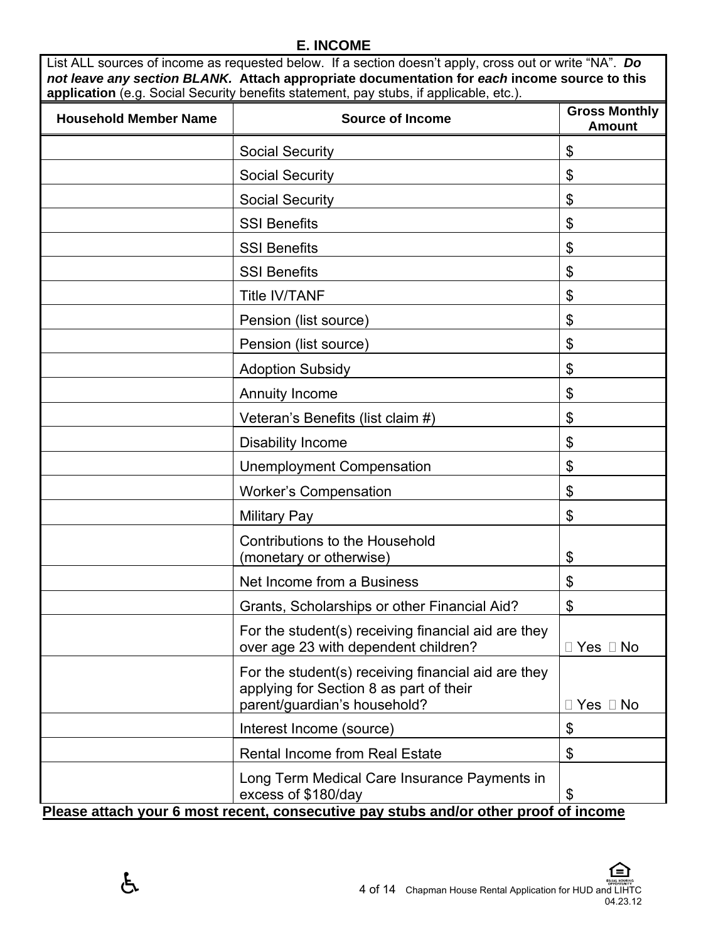### **E. INCOME**

List ALL sources of income as requested below. If a section doesn't apply, cross out or write "NA". *Do not leave any section BLANK.* **Attach appropriate documentation for** *each* **income source to this application** (e.g. Social Security benefits statement, pay stubs, if applicable, etc.).

| <b>Household Member Name</b> | <b>Source of Income</b>                                                                                                        | <b>Gross Monthly</b><br><b>Amount</b> |  |
|------------------------------|--------------------------------------------------------------------------------------------------------------------------------|---------------------------------------|--|
|                              | <b>Social Security</b>                                                                                                         | \$                                    |  |
|                              | <b>Social Security</b>                                                                                                         | \$                                    |  |
|                              | <b>Social Security</b>                                                                                                         | \$                                    |  |
|                              | <b>SSI Benefits</b>                                                                                                            | \$                                    |  |
|                              | <b>SSI Benefits</b>                                                                                                            | \$                                    |  |
|                              | <b>SSI Benefits</b>                                                                                                            | \$                                    |  |
|                              | <b>Title IV/TANF</b>                                                                                                           | \$                                    |  |
|                              | Pension (list source)                                                                                                          | \$                                    |  |
|                              | Pension (list source)                                                                                                          | \$                                    |  |
|                              | <b>Adoption Subsidy</b>                                                                                                        | \$                                    |  |
|                              | <b>Annuity Income</b>                                                                                                          | \$                                    |  |
|                              | Veteran's Benefits (list claim #)                                                                                              | \$                                    |  |
|                              | <b>Disability Income</b>                                                                                                       | \$                                    |  |
|                              | <b>Unemployment Compensation</b>                                                                                               | \$                                    |  |
|                              | <b>Worker's Compensation</b>                                                                                                   | \$                                    |  |
|                              | <b>Military Pay</b>                                                                                                            | \$                                    |  |
|                              | <b>Contributions to the Household</b><br>(monetary or otherwise)                                                               | $\boldsymbol{\mathsf{S}}$             |  |
|                              | Net Income from a Business                                                                                                     | \$                                    |  |
|                              | Grants, Scholarships or other Financial Aid?                                                                                   | \$                                    |  |
|                              | For the student(s) receiving financial aid are they<br>over age 23 with dependent children?                                    | Yes $\Box$ No                         |  |
|                              | For the student(s) receiving financial aid are they<br>applying for Section 8 as part of their<br>parent/guardian's household? | $\Box$ Yes $\Box$ No                  |  |
|                              | Interest Income (source)                                                                                                       | \$                                    |  |
|                              | <b>Rental Income from Real Estate</b>                                                                                          | \$                                    |  |
|                              | Long Term Medical Care Insurance Payments in<br>excess of \$180/day                                                            | \$                                    |  |
|                              | Please attach your 6 most recent, consecutive pay stubs and/or other proof of income                                           |                                       |  |

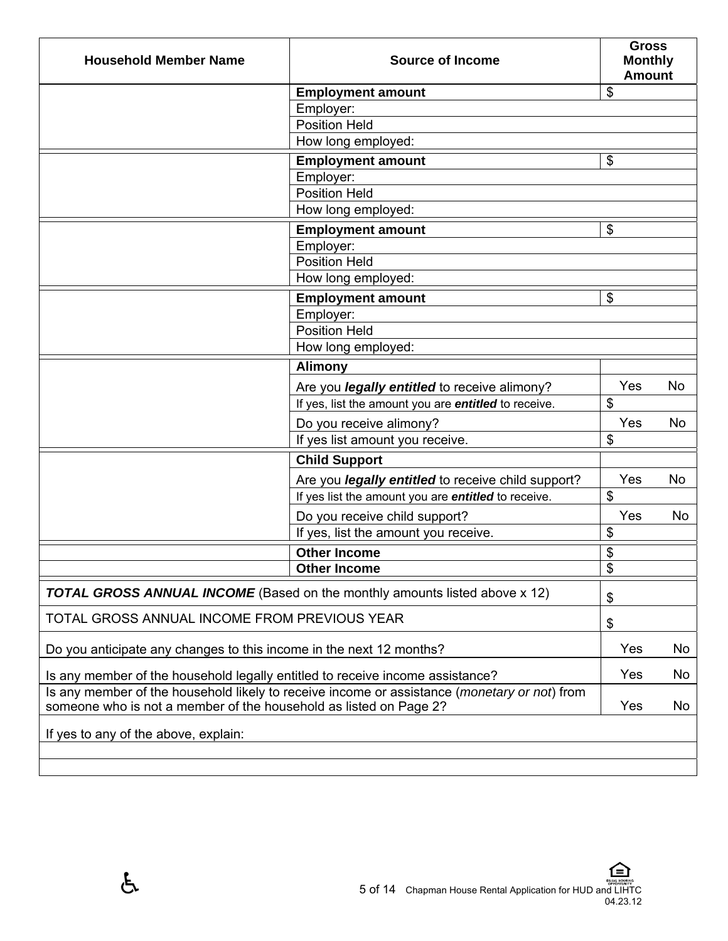| <b>Household Member Name</b>                                                                                                                                      | <b>Source of Income</b>                                                           | <b>Gross</b><br><b>Monthly</b><br><b>Amount</b> |    |
|-------------------------------------------------------------------------------------------------------------------------------------------------------------------|-----------------------------------------------------------------------------------|-------------------------------------------------|----|
|                                                                                                                                                                   | <b>Employment amount</b>                                                          | \$                                              |    |
|                                                                                                                                                                   | Employer:                                                                         |                                                 |    |
|                                                                                                                                                                   | <b>Position Held</b>                                                              |                                                 |    |
|                                                                                                                                                                   | How long employed:                                                                |                                                 |    |
|                                                                                                                                                                   | <b>Employment amount</b>                                                          | $\frac{1}{2}$                                   |    |
|                                                                                                                                                                   | Employer:                                                                         |                                                 |    |
|                                                                                                                                                                   | <b>Position Held</b>                                                              |                                                 |    |
|                                                                                                                                                                   | How long employed:                                                                |                                                 |    |
|                                                                                                                                                                   | <b>Employment amount</b>                                                          | $\boldsymbol{\mathsf{S}}$                       |    |
|                                                                                                                                                                   | Employer:<br><b>Position Held</b>                                                 |                                                 |    |
|                                                                                                                                                                   | How long employed:                                                                |                                                 |    |
|                                                                                                                                                                   |                                                                                   |                                                 |    |
|                                                                                                                                                                   | <b>Employment amount</b>                                                          | $\mathfrak{S}$                                  |    |
|                                                                                                                                                                   | Employer:<br><b>Position Held</b>                                                 |                                                 |    |
|                                                                                                                                                                   | How long employed:                                                                |                                                 |    |
|                                                                                                                                                                   | <b>Alimony</b>                                                                    |                                                 |    |
|                                                                                                                                                                   |                                                                                   |                                                 |    |
|                                                                                                                                                                   | Are you <i>legally entitled</i> to receive alimony?                               | Yes<br>\$                                       | No |
|                                                                                                                                                                   | If yes, list the amount you are entitled to receive.                              |                                                 |    |
|                                                                                                                                                                   | Do you receive alimony?                                                           | Yes                                             | No |
|                                                                                                                                                                   | If yes list amount you receive.                                                   | \$                                              |    |
|                                                                                                                                                                   | <b>Child Support</b>                                                              |                                                 |    |
|                                                                                                                                                                   | Are you <i>legally entitled</i> to receive child support?                         | Yes                                             | No |
|                                                                                                                                                                   | If yes list the amount you are <i>entitled</i> to receive.                        | $\boldsymbol{\mathsf{S}}$                       |    |
|                                                                                                                                                                   | Do you receive child support?                                                     | Yes                                             | No |
|                                                                                                                                                                   | If yes, list the amount you receive.                                              | $\boldsymbol{\mathsf{S}}$                       |    |
|                                                                                                                                                                   | <b>Other Income</b>                                                               | \$                                              |    |
|                                                                                                                                                                   | <b>Other Income</b>                                                               | $\overline{\mathbf{S}}$                         |    |
|                                                                                                                                                                   | <b>TOTAL GROSS ANNUAL INCOME</b> (Based on the monthly amounts listed above x 12) | \$                                              |    |
| TOTAL GROSS ANNUAL INCOME FROM PREVIOUS YEAR                                                                                                                      |                                                                                   | \$                                              |    |
| Do you anticipate any changes to this income in the next 12 months?                                                                                               |                                                                                   |                                                 | No |
| Is any member of the household legally entitled to receive income assistance?                                                                                     |                                                                                   |                                                 | No |
| Is any member of the household likely to receive income or assistance (monetary or not) from<br>someone who is not a member of the household as listed on Page 2? |                                                                                   |                                                 | No |
| If yes to any of the above, explain:                                                                                                                              |                                                                                   |                                                 |    |
|                                                                                                                                                                   |                                                                                   |                                                 |    |
|                                                                                                                                                                   |                                                                                   | Yes<br>Yes<br>Yes                               |    |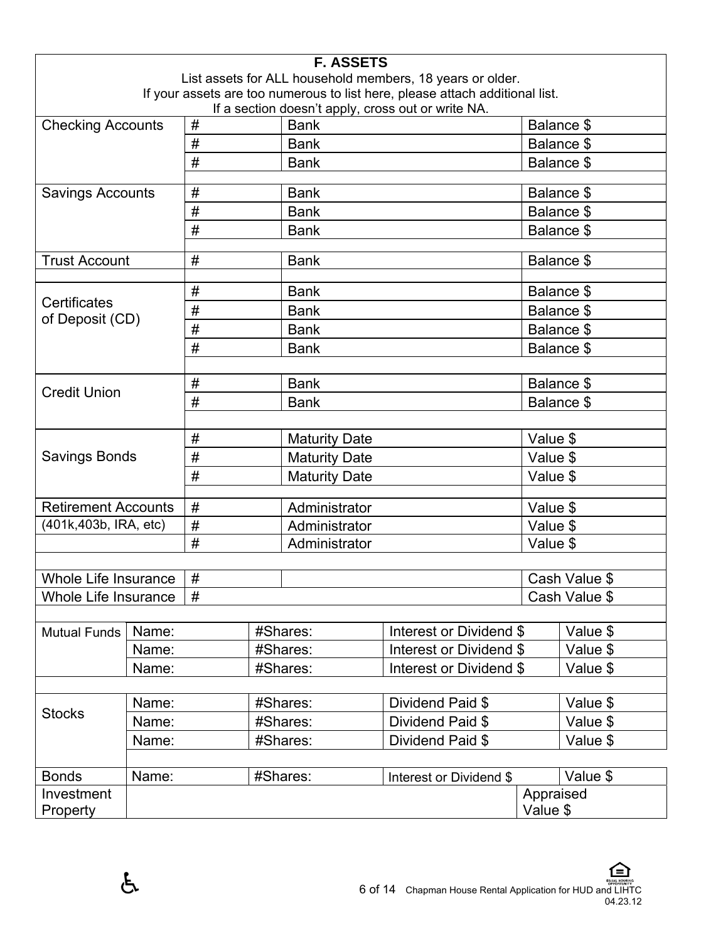|                                 | <b>F. ASSETS</b> |                                                                                         |                      |                      |                                                                              |                      |               |  |
|---------------------------------|------------------|-----------------------------------------------------------------------------------------|----------------------|----------------------|------------------------------------------------------------------------------|----------------------|---------------|--|
|                                 |                  |                                                                                         |                      |                      | List assets for ALL household members, 18 years or older.                    |                      |               |  |
|                                 |                  |                                                                                         |                      |                      | If your assets are too numerous to list here, please attach additional list. |                      |               |  |
| <b>Checking Accounts</b>        |                  | If a section doesn't apply, cross out or write NA.<br>$\#$<br>Balance \$<br><b>Bank</b> |                      |                      |                                                                              |                      |               |  |
|                                 |                  | #                                                                                       |                      | <b>Bank</b>          |                                                                              |                      | Balance \$    |  |
|                                 |                  | #                                                                                       |                      | <b>Bank</b>          |                                                                              |                      | Balance \$    |  |
|                                 |                  |                                                                                         |                      |                      |                                                                              |                      |               |  |
| <b>Savings Accounts</b>         |                  | #                                                                                       |                      | <b>Bank</b>          |                                                                              |                      | Balance \$    |  |
|                                 |                  | #                                                                                       |                      | <b>Bank</b>          |                                                                              |                      | Balance \$    |  |
|                                 |                  | #                                                                                       |                      | <b>Bank</b>          |                                                                              |                      | Balance \$    |  |
| <b>Trust Account</b>            |                  | #                                                                                       |                      | <b>Bank</b>          |                                                                              |                      | Balance \$    |  |
|                                 |                  |                                                                                         |                      |                      |                                                                              |                      |               |  |
|                                 |                  | $\#$                                                                                    |                      | <b>Bank</b>          |                                                                              |                      | Balance \$    |  |
| Certificates<br>of Deposit (CD) |                  | #                                                                                       |                      | <b>Bank</b>          |                                                                              |                      | Balance \$    |  |
|                                 |                  | #                                                                                       |                      | <b>Bank</b>          |                                                                              |                      | Balance \$    |  |
|                                 |                  | #                                                                                       |                      | <b>Bank</b>          |                                                                              |                      | Balance \$    |  |
|                                 |                  |                                                                                         |                      |                      |                                                                              |                      |               |  |
| <b>Credit Union</b>             |                  | $\#$                                                                                    |                      | <b>Bank</b>          |                                                                              |                      | Balance \$    |  |
| #                               |                  |                                                                                         | <b>Bank</b>          |                      | Balance \$                                                                   |                      |               |  |
|                                 |                  |                                                                                         |                      |                      |                                                                              |                      |               |  |
| #                               |                  |                                                                                         |                      | <b>Maturity Date</b> |                                                                              | Value \$             |               |  |
| <b>Savings Bonds</b><br>#       |                  |                                                                                         |                      | <b>Maturity Date</b> |                                                                              | Value \$             |               |  |
| #                               |                  |                                                                                         | <b>Maturity Date</b> |                      | Value \$                                                                     |                      |               |  |
| <b>Retirement Accounts</b><br># |                  |                                                                                         | Administrator        |                      | Value \$                                                                     |                      |               |  |
| (401k,403b, IRA, etc)           |                  | #                                                                                       |                      | Administrator        |                                                                              |                      |               |  |
|                                 |                  | #                                                                                       |                      | Administrator        |                                                                              | Value \$<br>Value \$ |               |  |
|                                 |                  |                                                                                         |                      |                      |                                                                              |                      |               |  |
| Whole Life Insurance            |                  | #                                                                                       |                      |                      |                                                                              |                      | Cash Value \$ |  |
| <b>Whole Life Insurance</b>     |                  | #                                                                                       |                      |                      |                                                                              |                      | Cash Value \$ |  |
|                                 |                  |                                                                                         |                      |                      |                                                                              |                      |               |  |
| <b>Mutual Funds</b>             | Name:            |                                                                                         | #Shares:             |                      | Interest or Dividend \$                                                      |                      | Value \$      |  |
|                                 | Name:            |                                                                                         |                      | #Shares:             | Interest or Dividend \$                                                      |                      | Value \$      |  |
|                                 | Name:            |                                                                                         |                      | #Shares:             | Interest or Dividend \$                                                      |                      | Value \$      |  |
|                                 |                  |                                                                                         |                      |                      |                                                                              |                      |               |  |
| <b>Stocks</b>                   | Name:            |                                                                                         | #Shares:             |                      | Dividend Paid \$                                                             |                      | Value \$      |  |
|                                 | Name:            |                                                                                         |                      | #Shares:             | Dividend Paid \$                                                             |                      | Value \$      |  |
| Name:                           |                  |                                                                                         |                      | #Shares:             | Dividend Paid \$                                                             |                      | Value \$      |  |
|                                 |                  |                                                                                         |                      |                      |                                                                              |                      |               |  |
| <b>Bonds</b>                    | Name:            |                                                                                         |                      | #Shares:             | Interest or Dividend \$                                                      |                      | Value \$      |  |
| Investment                      |                  |                                                                                         |                      |                      |                                                                              | Appraised            |               |  |
| Property                        |                  |                                                                                         |                      |                      |                                                                              | Value \$             |               |  |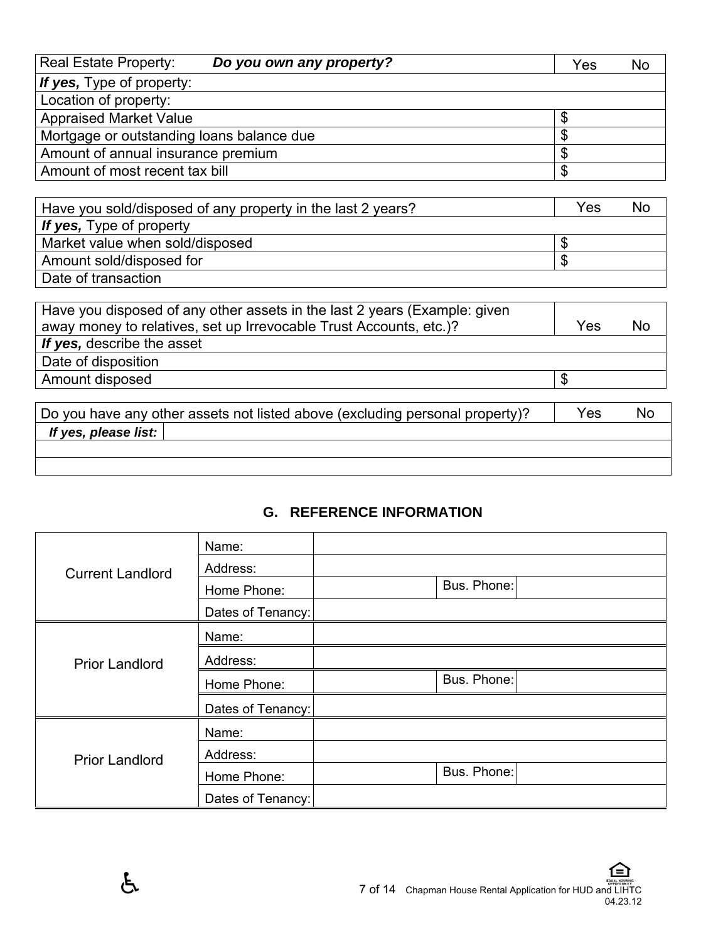| Real Estate Property:                     | Do you own any property? | Yes | No |
|-------------------------------------------|--------------------------|-----|----|
| If yes, Type of property:                 |                          |     |    |
| Location of property:                     |                          |     |    |
| <b>Appraised Market Value</b>             |                          |     |    |
| Mortgage or outstanding loans balance due |                          | \$  |    |
| Amount of annual insurance premium        |                          |     |    |
| Amount of most recent tax bill            |                          | \$  |    |

| Have you sold/disposed of any property in the last 2 years? | Yes | No |
|-------------------------------------------------------------|-----|----|
| If yes, Type of property                                    |     |    |
| Market value when sold/disposed                             | лD  |    |
| Amount sold/disposed for                                    | \$  |    |
| Date of transaction                                         |     |    |

| Have you disposed of any other assets in the last 2 years (Example: given<br>away money to relatives, set up Irrevocable Trust Accounts, etc.)? | Yes | No |
|-------------------------------------------------------------------------------------------------------------------------------------------------|-----|----|
| If yes, describe the asset                                                                                                                      |     |    |
| Date of disposition                                                                                                                             |     |    |
| Amount disposed                                                                                                                                 |     |    |
|                                                                                                                                                 |     |    |

|                      | Do you have any other assets not listed above (excluding personal property)? | Yes | <b>NO</b> |
|----------------------|------------------------------------------------------------------------------|-----|-----------|
| If yes, please list: |                                                                              |     |           |
|                      |                                                                              |     |           |
|                      |                                                                              |     |           |

# **G. REFERENCE INFORMATION**

| <b>Current Landlord</b> | Name:             |             |
|-------------------------|-------------------|-------------|
|                         | Address:          |             |
|                         | Home Phone:       | Bus. Phone: |
|                         | Dates of Tenancy: |             |
| <b>Prior Landlord</b>   | Name:             |             |
|                         | Address:          |             |
|                         | Home Phone:       | Bus. Phone: |
|                         | Dates of Tenancy: |             |
| <b>Prior Landlord</b>   | Name:             |             |
|                         | Address:          |             |
|                         | Home Phone:       | Bus. Phone: |
|                         | Dates of Tenancy: |             |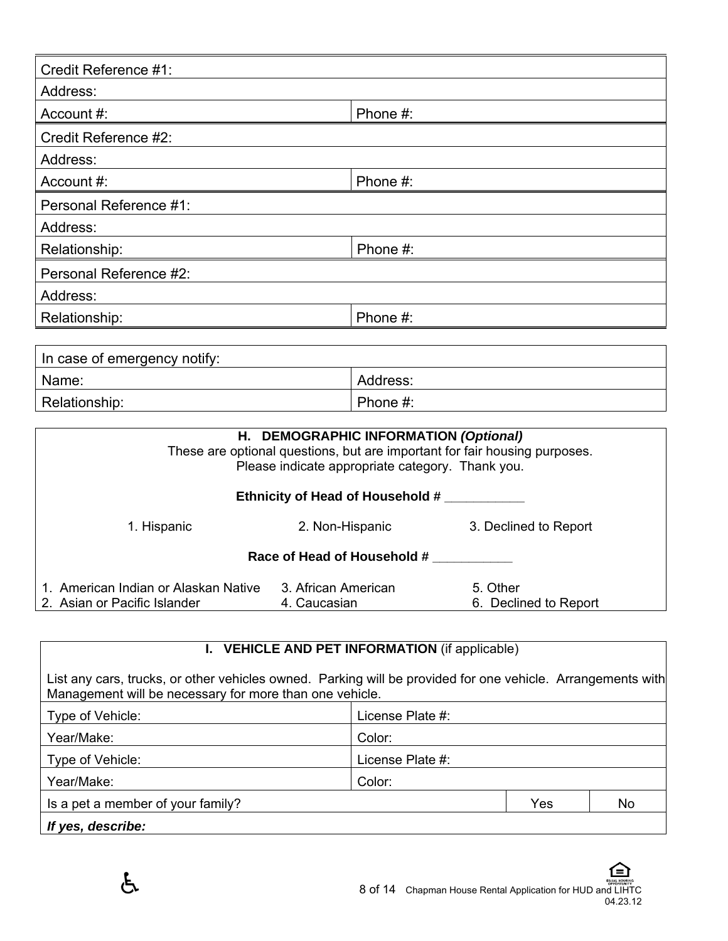| Credit Reference #1:         |                                                                                                                                                                                               |  |  |  |
|------------------------------|-----------------------------------------------------------------------------------------------------------------------------------------------------------------------------------------------|--|--|--|
| Address:                     |                                                                                                                                                                                               |  |  |  |
|                              |                                                                                                                                                                                               |  |  |  |
| Account #:                   | Phone #:                                                                                                                                                                                      |  |  |  |
| Credit Reference #2:         |                                                                                                                                                                                               |  |  |  |
| Address:                     |                                                                                                                                                                                               |  |  |  |
| Account #:                   | Phone #:                                                                                                                                                                                      |  |  |  |
| Personal Reference #1:       |                                                                                                                                                                                               |  |  |  |
| Address:                     |                                                                                                                                                                                               |  |  |  |
| Relationship:                | Phone #:                                                                                                                                                                                      |  |  |  |
| Personal Reference #2:       |                                                                                                                                                                                               |  |  |  |
| Address:                     |                                                                                                                                                                                               |  |  |  |
| Relationship:                | Phone #:                                                                                                                                                                                      |  |  |  |
|                              |                                                                                                                                                                                               |  |  |  |
| In case of emergency notify: |                                                                                                                                                                                               |  |  |  |
| Name:                        | Address:                                                                                                                                                                                      |  |  |  |
| Relationship:                | Phone #:                                                                                                                                                                                      |  |  |  |
|                              |                                                                                                                                                                                               |  |  |  |
|                              | H. DEMOGRAPHIC INFORMATION (Optional)                                                                                                                                                         |  |  |  |
|                              | These are optional questions, but are important for fair housing purposes.<br>the contract of the contract of the contract of the contract of the contract of the contract of the contract of |  |  |  |

|                                                                      | Please indicate appropriate category. Thank you. |                                   |
|----------------------------------------------------------------------|--------------------------------------------------|-----------------------------------|
|                                                                      | <b>Ethnicity of Head of Household #</b>          |                                   |
| 1. Hispanic                                                          | 2. Non-Hispanic                                  | 3. Declined to Report             |
|                                                                      | Race of Head of Household #                      |                                   |
| 1. American Indian or Alaskan Native<br>2. Asian or Pacific Islander | 3. African American<br>4. Caucasian              | 5. Other<br>6. Declined to Report |

# **I. VEHICLE AND PET INFORMATION** (if applicable)

List any cars, trucks, or other vehicles owned. Parking will be provided for one vehicle. Arrangements with Management will be necessary for more than one vehicle.

| Type of Vehicle:                  | License Plate #: |
|-----------------------------------|------------------|
| Year/Make:                        | Color:           |
| Type of Vehicle:                  | License Plate #: |
| Year/Make:                        | Color:           |
| Is a pet a member of your family? | No<br>Yes        |
| If yes, describe:                 |                  |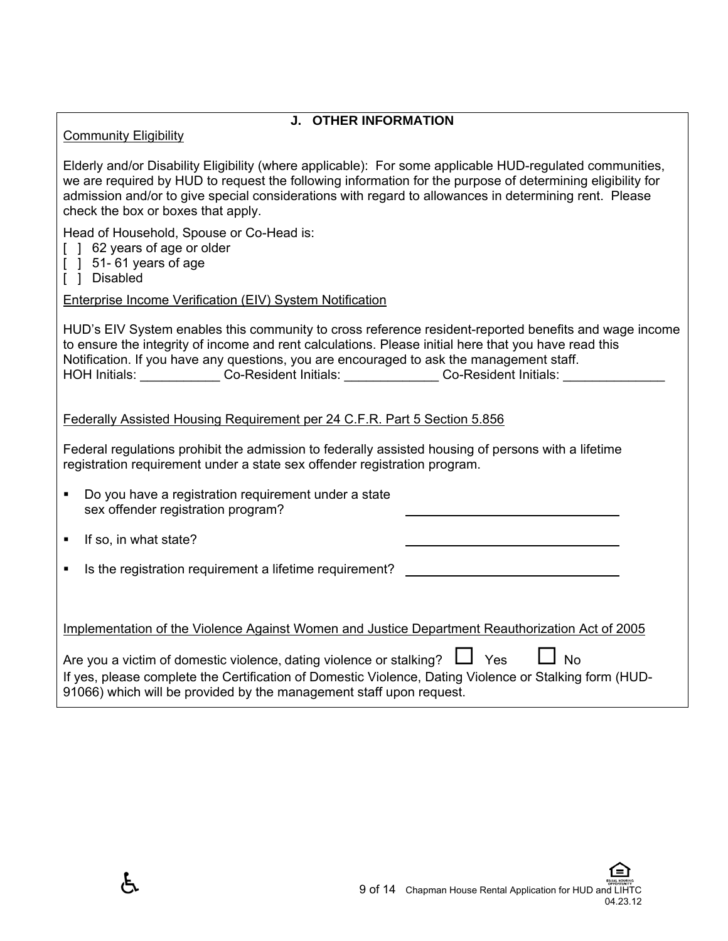| <b>J. OTHER INFORMATION</b> |
|-----------------------------|
|-----------------------------|

Community Eligibility

Elderly and/or Disability Eligibility (where applicable): For some applicable HUD-regulated communities, we are required by HUD to request the following information for the purpose of determining eligibility for admission and/or to give special considerations with regard to allowances in determining rent. Please check the box or boxes that apply.

Head of Household, Spouse or Co-Head is:

- [ ] 62 years of age or older
- $[$   $]$  51-61 years of age
- [ ] Disabled

Enterprise Income Verification (EIV) System Notification

HUD's EIV System enables this community to cross reference resident-reported benefits and wage income to ensure the integrity of income and rent calculations. Please initial here that you have read this Notification. If you have any questions, you are encouraged to ask the management staff. HOH Initials: \_\_\_\_\_\_\_\_\_\_\_\_\_\_ Co-Resident Initials: \_\_\_\_\_\_\_\_\_\_\_\_\_\_\_ Co-Resident Initials: \_\_\_\_\_\_\_\_\_

Federally Assisted Housing Requirement per 24 C.F.R. Part 5 Section 5.856

Federal regulations prohibit the admission to federally assisted housing of persons with a lifetime registration requirement under a state sex offender registration program.

| Do you have a registration requirement under a state |
|------------------------------------------------------|
| sex offender registration program?                   |

 $\blacksquare$  If so, in what state?

Æ.

Is the registration requirement a lifetime requirement?

Implementation of the Violence Against Women and Justice Department Reauthorization Act of 2005

| Are you a victim of domestic violence, dating violence or stalking? $\Box$ Yes                         |  | $\Box$ No |  |
|--------------------------------------------------------------------------------------------------------|--|-----------|--|
| If yes, please complete the Certification of Domestic Violence, Dating Violence or Stalking form (HUD- |  |           |  |
| 91066) which will be provided by the management staff upon request.                                    |  |           |  |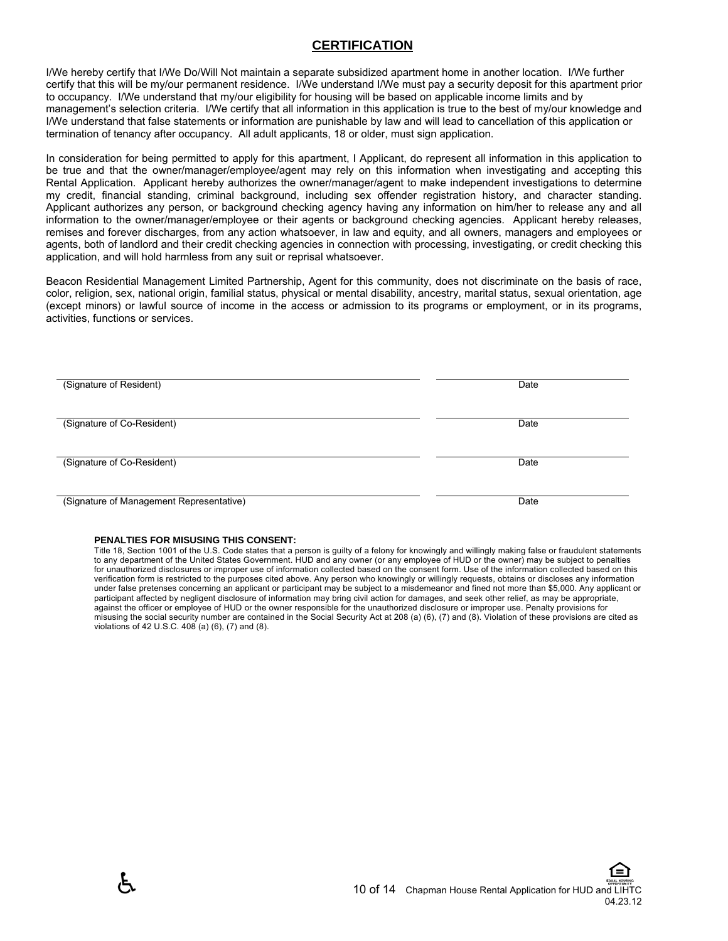#### **CERTIFICATION**

I/We hereby certify that I/We Do/Will Not maintain a separate subsidized apartment home in another location. I/We further certify that this will be my/our permanent residence. I/We understand I/We must pay a security deposit for this apartment prior to occupancy. I/We understand that my/our eligibility for housing will be based on applicable income limits and by management's selection criteria. I/We certify that all information in this application is true to the best of my/our knowledge and I/We understand that false statements or information are punishable by law and will lead to cancellation of this application or termination of tenancy after occupancy. All adult applicants, 18 or older, must sign application.

In consideration for being permitted to apply for this apartment, I Applicant, do represent all information in this application to be true and that the owner/manager/employee/agent may rely on this information when investigating and accepting this Rental Application. Applicant hereby authorizes the owner/manager/agent to make independent investigations to determine my credit, financial standing, criminal background, including sex offender registration history, and character standing. Applicant authorizes any person, or background checking agency having any information on him/her to release any and all information to the owner/manager/employee or their agents or background checking agencies. Applicant hereby releases, remises and forever discharges, from any action whatsoever, in law and equity, and all owners, managers and employees or agents, both of landlord and their credit checking agencies in connection with processing, investigating, or credit checking this application, and will hold harmless from any suit or reprisal whatsoever.

Beacon Residential Management Limited Partnership, Agent for this community, does not discriminate on the basis of race, color, religion, sex, national origin, familial status, physical or mental disability, ancestry, marital status, sexual orientation, age (except minors) or lawful source of income in the access or admission to its programs or employment, or in its programs, activities, functions or services.

| (Signature of Resident)                  | Date |
|------------------------------------------|------|
|                                          |      |
|                                          |      |
| (Signature of Co-Resident)               | Date |
|                                          |      |
|                                          |      |
| (Signature of Co-Resident)               | Date |
|                                          |      |
|                                          |      |
|                                          |      |
| (Signature of Management Representative) | Date |

#### **PENALTIES FOR MISUSING THIS CONSENT:**

Title 18, Section 1001 of the U.S. Code states that a person is guilty of a felony for knowingly and willingly making false or fraudulent statements to any department of the United States Government. HUD and any owner (or any employee of HUD or the owner) may be subject to penalties for unauthorized disclosures or improper use of information collected based on the consent form. Use of the information collected based on this verification form is restricted to the purposes cited above. Any person who knowingly or willingly requests, obtains or discloses any information under false pretenses concerning an applicant or participant may be subject to a misdemeanor and fined not more than \$5,000. Any applicant or participant affected by negligent disclosure of information may bring civil action for damages, and seek other relief, as may be appropriate, against the officer or employee of HUD or the owner responsible for the unauthorized disclosure or improper use. Penalty provisions for misusing the social security number are contained in the Social Security Act at 208 (a) (6), (7) and (8). Violation of these provisions are cited as violations of 42 U.S.C. 408 (a) (6), (7) and (8).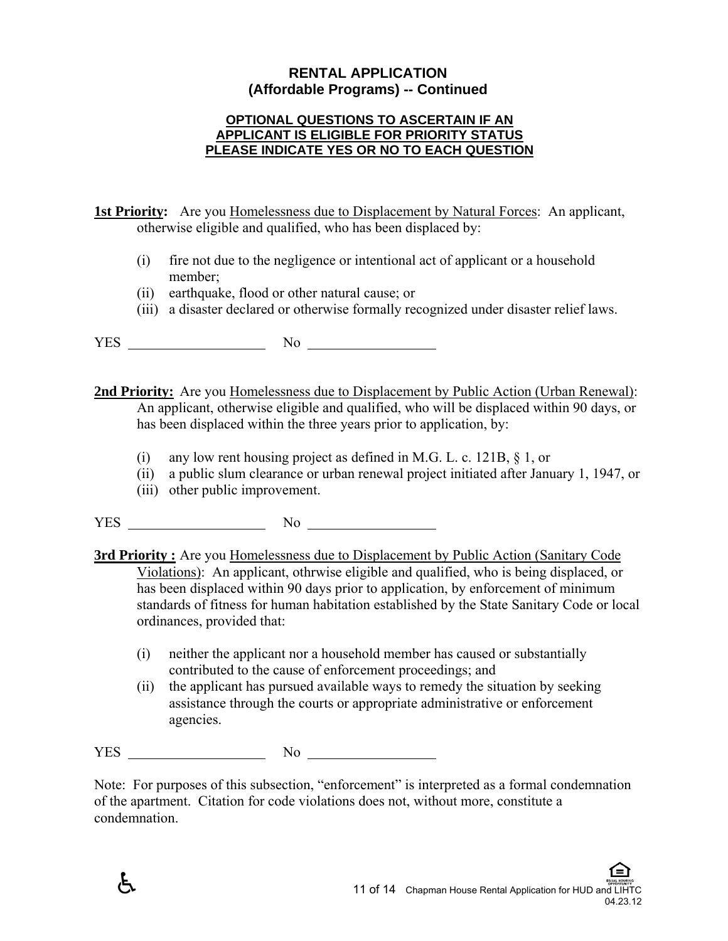# **RENTAL APPLICATION (Affordable Programs) -- Continued**

#### **OPTIONAL QUESTIONS TO ASCERTAIN IF AN APPLICANT IS ELIGIBLE FOR PRIORITY STATUS PLEASE INDICATE YES OR NO TO EACH QUESTION**

**1st Priority:** Are you Homelessness due to Displacement by Natural Forces: An applicant, otherwise eligible and qualified, who has been displaced by:

- (i) fire not due to the negligence or intentional act of applicant or a household member;
- (ii) earthquake, flood or other natural cause; or
- (iii) a disaster declared or otherwise formally recognized under disaster relief laws.

 $YES$  No  $N$ 

**2nd Priority:** Are you Homelessness due to Displacement by Public Action (Urban Renewal): An applicant, otherwise eligible and qualified, who will be displaced within 90 days, or has been displaced within the three years prior to application, by:

- (i) any low rent housing project as defined in M.G. L. c. 121B, § 1, or
- (ii) a public slum clearance or urban renewal project initiated after January 1, 1947, or
- (iii) other public improvement.
- YES No

**3rd Priority :** Are you Homelessness due to Displacement by Public Action (Sanitary Code Violations): An applicant, othrwise eligible and qualified, who is being displaced, or has been displaced within 90 days prior to application, by enforcement of minimum standards of fitness for human habitation established by the State Sanitary Code or local ordinances, provided that:

- (i) neither the applicant nor a household member has caused or substantially contributed to the cause of enforcement proceedings; and
- (ii) the applicant has pursued available ways to remedy the situation by seeking assistance through the courts or appropriate administrative or enforcement agencies.

YES No

Æ.

Note: For purposes of this subsection, "enforcement" is interpreted as a formal condemnation of the apartment. Citation for code violations does not, without more, constitute a condemnation.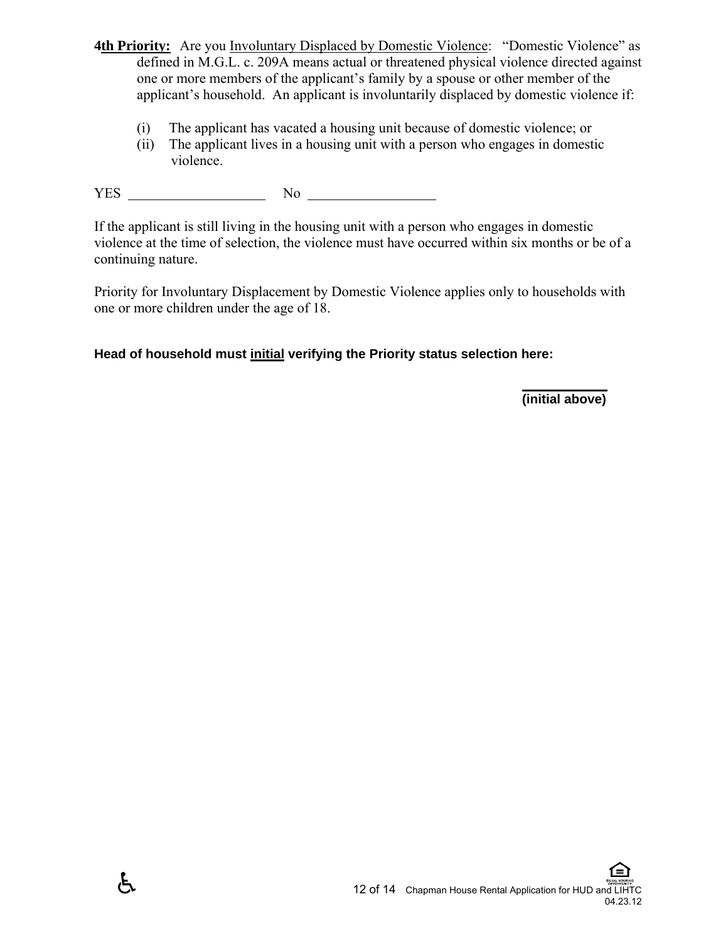- **4th Priority:** Are you Involuntary Displaced by Domestic Violence: "Domestic Violence" as defined in M.G.L. c. 209A means actual or threatened physical violence directed against one or more members of the applicant's family by a spouse or other member of the applicant's household. An applicant is involuntarily displaced by domestic violence if:
	- (i) The applicant has vacated a housing unit because of domestic violence; or
	- (ii) The applicant lives in a housing unit with a person who engages in domestic violence.

YES No

 $\mathfrak{F}$ 

If the applicant is still living in the housing unit with a person who engages in domestic violence at the time of selection, the violence must have occurred within six months or be of a continuing nature.

Priority for Involuntary Displacement by Domestic Violence applies only to households with one or more children under the age of 18.

**Head of household must initial verifying the Priority status selection here:** 

 **(initial above)**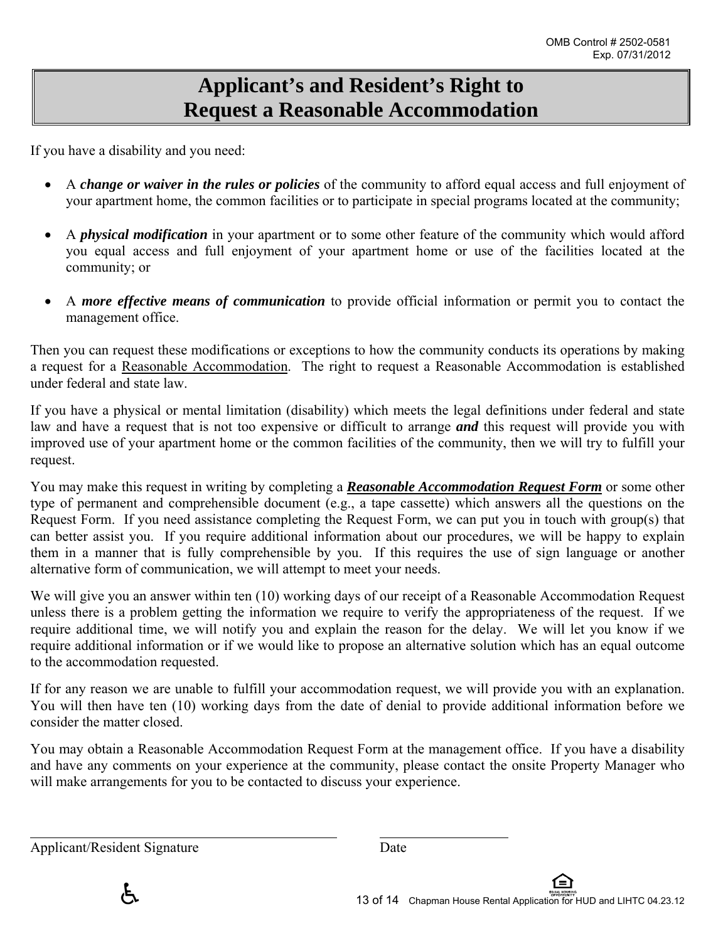# **Applicant's and Resident's Right to Request a Reasonable Accommodation**

If you have a disability and you need:

- A *change or waiver in the rules or policies* of the community to afford equal access and full enjoyment of your apartment home, the common facilities or to participate in special programs located at the community;
- A *physical modification* in your apartment or to some other feature of the community which would afford you equal access and full enjoyment of your apartment home or use of the facilities located at the community; or
- A *more effective means of communication* to provide official information or permit you to contact the management office.

Then you can request these modifications or exceptions to how the community conducts its operations by making a request for a Reasonable Accommodation. The right to request a Reasonable Accommodation is established under federal and state law.

If you have a physical or mental limitation (disability) which meets the legal definitions under federal and state law and have a request that is not too expensive or difficult to arrange *and* this request will provide you with improved use of your apartment home or the common facilities of the community, then we will try to fulfill your request.

You may make this request in writing by completing a *Reasonable Accommodation Request Form* or some other type of permanent and comprehensible document (e.g., a tape cassette) which answers all the questions on the Request Form. If you need assistance completing the Request Form, we can put you in touch with group(s) that can better assist you. If you require additional information about our procedures, we will be happy to explain them in a manner that is fully comprehensible by you. If this requires the use of sign language or another alternative form of communication, we will attempt to meet your needs.

We will give you an answer within ten (10) working days of our receipt of a Reasonable Accommodation Request unless there is a problem getting the information we require to verify the appropriateness of the request. If we require additional time, we will notify you and explain the reason for the delay. We will let you know if we require additional information or if we would like to propose an alternative solution which has an equal outcome to the accommodation requested.

If for any reason we are unable to fulfill your accommodation request, we will provide you with an explanation. You will then have ten (10) working days from the date of denial to provide additional information before we consider the matter closed.

You may obtain a Reasonable Accommodation Request Form at the management office. If you have a disability and have any comments on your experience at the community, please contact the onsite Property Manager who will make arrangements for you to be contacted to discuss your experience.

Applicant/Resident Signature Date

 $\overline{a}$